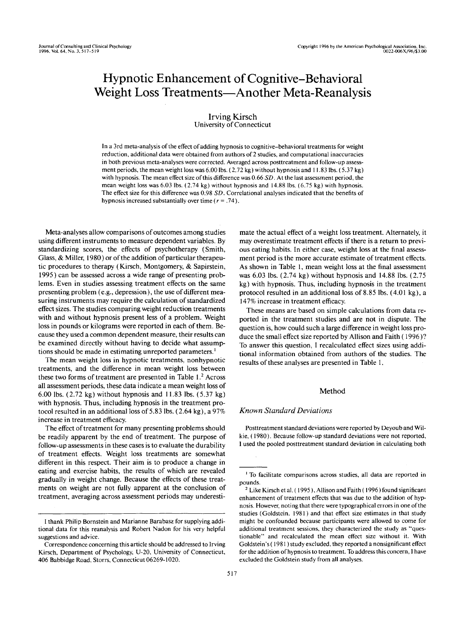# Hypnotic Enhancement of Cognitive-Behavioral Weight Loss Treatments—Another Meta-Reanalysis

# Irving Kirsch University of Connecticut

In a 3rd meta-analysis of the effect of adding hypnosis to cognitive-behavioral treatments for weight reduction, additional data were obtained from authors of 2 studies, and computational inaccuracies in both previous meta-analyses were corrected. Averaged across posttreatment and follow-up assessment periods, the mean weight loss was 6.00 Ibs. (2.72 kg) without hypnosis and 11.83 Ibs. (5.37 kg) with hypnosis. The mean effect size of this difference was 0.66 *SD.* At the last assessment period, the mean weight loss was 6.03 Ibs. (2.74 kg) without hypnosis and 14.88 Ibs. (6.75 kg) with hypnosis. The effect size for this difference was 0.98 *SD.* Correlational analyses indicated that the benefits of hypnosis increased substantially over time (*r =* .74).

Meta-analyses allow comparisons of outcomes among studies using different instruments to measure dependent variables. By standardizing scores, the effects of psychotherapy (Smith, Glass, & Miller, 1980) or of the addition of particular therapeutic procedures to therapy (Kirsch, Montgomery, & Sapirstein, 1995) can be assessed across a wide range of presenting problems. Even in studies assessing treatment effects on the same presenting problem (e.g., depression), the use of different measuring instruments may require the calculation of standardized effect sizes. The studies comparing weight reduction treatments with and without hypnosis present less of a problem. Weight loss in pounds or kilograms were reported in each of them. Because they used a common dependent measure, their results can be examined directly without having to decide what assumptions should be made in estimating unreported parameters.<sup>1</sup>

The mean weight loss in hypnotic treatments, nonhypnotic treatments, and the difference in mean weight loss between these two forms of treatment are presented in Table  $1<sup>2</sup>$  Across all assessment periods, these data indicate a mean weight loss of 6.00 Ibs. (2.72 kg) without hypnosis and 11.83 Ibs. (5.37 kg) with hypnosis. Thus, including hypnosis in the treatment protocol resulted in an additional loss of 5.83 Ibs. (2.64 kg), a 97% increase in treatment efficacy.

The effect of treatment for many presenting problems should be readily apparent by the end of treatment. The purpose of follow-up assessments in these cases is to evaluate the durability of treatment effects. Weight loss treatments are somewhat different in this respect. Their aim is to produce a change in eating and exercise habits, the results of which are revealed gradually in weight change. Because the effects of these treatments on weight are not fully apparent at the conclusion of treatment, averaging across assessment periods may underestimate the actual effect of a weight loss treatment. Alternately, it may overestimate treatment effects if there is a return to previous eating habits. In either case, weight loss at the final assessment period is the more accurate estimate of treatment effects. As shown in Table 1, mean weight loss at the final assessment was 6.03 Ibs. (2.74 kg) without hypnosis and 14.88 Ibs. (2.75 kg) with hypnosis. Thus, including hypnosis in the treatment protocol resulted in an additional loss of 8.85 Ibs. (4.01 kg), a 147% increase in treatment efficacy.

These means are based on simple calculations from data reported in the treatment studies and are not in dispute. The question is, how could such a large difference in weight loss produce the small effect size reported by Allison and Faith (1996) ? To answer this question, I recalculated effect sizes using additional information obtained from authors of the studies. The results of these analyses are presented in Table 1.

# Method

## *Known Standard Deviations*

Posttreatment standard deviations were reported by Deyoub and Wilkie, (1980). Because follow-up standard deviations were not reported, I used the pooled posttreatment standard deviation in calculating both

I thank Philip Bornstein and Marianne Barabasz for supplying additional data for this reanalysis and Robert Nadon for his very helpful suggestions and advice.

Correspondence concerning this article should be addressed to Irving Kirsch, Department of Psychology, U-20, University of Connecticut, 406 Babbidge Road, Storrs, Connecticut 06269-1020.

<sup>&</sup>lt;sup>1</sup> To facilitate comparisons across studies, all data are reported in pounds.

<sup>&</sup>lt;sup>2</sup> Like Kirsch et al. (1995), Allison and Faith (1996) found significant enhancement of treatment effects that was due to the addition of hypnosis. However, noting that there were typographical errors in one of the studies (Goldstein. 1981) and that effect size estimates in that study might be confounded because participants were allowed to come for additional treatment sessions, they characterized the study as "questionable" and recalculated the mean effect size without it. With Goldstein's (1981) study excluded, they reported a nonsignificant effect for the addition of hypnosis to treatment. To address this concern, I have excluded the Goldstein study from all analyses.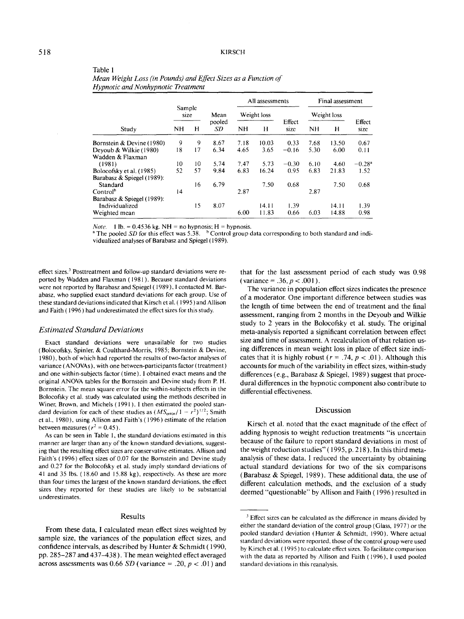| Study                      | Sample<br>Mean<br>size |    |              | All assessments |       |                | Final assessment |       |                      |
|----------------------------|------------------------|----|--------------|-----------------|-------|----------------|------------------|-------|----------------------|
|                            |                        |    |              | Weight loss     |       |                | Weight loss      |       |                      |
|                            | <b>NH</b>              | н  | pooled<br>SD | NH              | Н     | Effect<br>size | NH               | н     | Effect<br>size       |
| Bornstein & Devine (1980)  | 9                      | 9  | 8.67         | 7.18            | 10.03 | 0.33           | 7.68             | 13.50 | 0.67                 |
| Deyoub & Wilkie (1980)     | 18                     | 17 | 6.34         | 4.65            | 3.65  | $-0.16$        | 5.30             | 6.00  | 0.11                 |
| Wadden & Flaxman           |                        |    |              |                 |       |                |                  |       |                      |
| (1981)                     | 10                     | 10 | 5.74         | 7.47            | 5.73  | $-0.30$        | 6.10             | 4.60  | $-0.28$ <sup>a</sup> |
| Bolocofsky et al. (1985)   | 52                     | 57 | 9.84         | 6.83            | 16.24 | 0.95           | 6.83             | 21.83 | 1.52                 |
| Barabasz & Spiegel (1989): |                        |    |              |                 |       |                |                  |       |                      |
| Standard                   |                        | 16 | 6.79         |                 | 7.50  | 0.68           |                  | 7.50  | 0.68                 |
| Control <sup>b</sup>       | 14                     |    |              | 2.87            |       |                | 2.87             |       |                      |
| Barabasz & Spiegel (1989): |                        |    |              |                 |       |                |                  |       |                      |
| Individualized             |                        | 15 | 8.07         |                 | 14.11 | 139            |                  | 14.11 | 1.39                 |
| Weighted mean              |                        |    |              | 6.00            | 11.83 | 0.66           | 6.03             | 14.88 | 0.98                 |

|  | Mean Weight Loss (in Pounds) and Effect Sizes as a Function of |  |  |  |  |
|--|----------------------------------------------------------------|--|--|--|--|
|  | Hypnotic and Nonhypnotic Treatment                             |  |  |  |  |

*Note.* 1 lb. = 0.4536 kg. NH = no hypnosis; H = hypnosis.

<sup>a</sup> The pooled SD for this effect was 5.38. <sup>b</sup> Control group data corresponding to both standard and individualized analyses of Barabasz and Spiegel (1989).

effect sizes.<sup>3</sup> Posttreatment and follow-up standard deviations were reported by Wadden and Flaxman (1981). Because standard deviations were not reported by Barabasz and Spiegel (1989), I contacted M. Barabasz, who supplied exact standard deviations for each group. Use of these standard deviations indicated that Kirsch et al. (1995) and Allison and Faith (1996) had underestimated the effect sizes for this study.

#### *Estimated Standard Deviations*

Exact standard deviations were unavailable for two studies (Bolocofsky, Spinier, & Coulthard-Morris, 1985; Bornstein & Devine, 1980), both of which had reported the results of two-factor analyses of variance (ANOVAs), with one between-participants factor (treatment) and one within-subjects factor (time). I obtained exact means and the original ANOVA tables for the Bornstein and Devine study from P. H. Bornstein. The mean square error for the within-subjects effects in the Bolocofsky et al. study was calculated using the methods described in Winer, Brown, and Michels (1991). I then estimated the pooled standard deviation for each of these studies as  $(MS<sub>error</sub>/1 - r<sup>2</sup>)<sup>1/2</sup>$ ; Smith et al., 1980), using Allison and Faith's (1996) estimate of the relation between measures ( $r^2 = 0.45$ ).

As can be seen in Table 1, the standard deviations estimated in this manner are larger than any of the known standard deviations, suggesting that the resulting effect sizes are conservative estimates. Allison and Faith's (1996) effect sizes of 0.07 for the Bornstein and Devine study and 0.27 for the Bolocofsky et al. study imply standard deviations of 41 and 35 Ibs. (18.60 and 15.88 kg), respectively. As these are more than four times the largest of the known standard deviations, the effect sizes they reported for these studies are likely to be substantial underestimates.

### Results

From these data, I calculated mean effect sizes weighted by sample size, the variances of the population effect sizes, and confidence intervals, as described by Hunter & Schmidt (1990, pp. 285-287 and 437-438). The mean weighted effect averaged across assessments was 0.66 *SD* (variance = .20, *p <* .01) and

that for the last assessment period of each study was 0.98  $(variance = .36, p < .001).$ 

The variance in population effect sizes indicates the presence of a moderator. One important difference between studies was the length of time between the end of treatment and the final assessment, ranging from 2 months in the Deyoub and Wilkie study to 2 years in the Bolocofsky et al. study. The original meta-analysis reported a significant correlation between effect size and time of assessment. A recalculation of that relation using differences in mean weight loss in place of effect size indicates that it is highly robust  $(r = .74, p < .01)$ . Although this accounts for much of the variability in effect sizes, within-study differences (e.g., Barabasz & Spiegel, 1989) suggest that procedural differences in the hypnotic component also contribute to differential effectiveness.

#### Discussion

Kirsch et al. noted that the exact magnitude of the effect of adding hypnosis to weight reduction treatments "is uncertain because of the failure to report standard deviations in most of the weight reduction studies" (1995, p. 218). In this third metaanalysis of these data, I reduced the uncertainty by obtaining actual standard deviations for two of the six comparisons (Barabasz & Spiegel, 1989). These additional data, the use of different calculation methods, and the exclusion of a study deemed "questionable" by Allison and Faith (1996) resulted in

Table 1

<sup>&</sup>lt;sup>3</sup> Effect sizes can be calculated as the difference in means divided by either the standard deviation of the control group (Glass, 1977) or the pooled standard deviation (Hunter & Schmidt, 1990). Where actual standard deviations were reported, those of the control group were used by Kirsch et al. (1995) to calculate effect sizes. To facilitate comparison with the data as reported by Allison and Faith (1996), I used pooled standard deviations in this reanalysis.